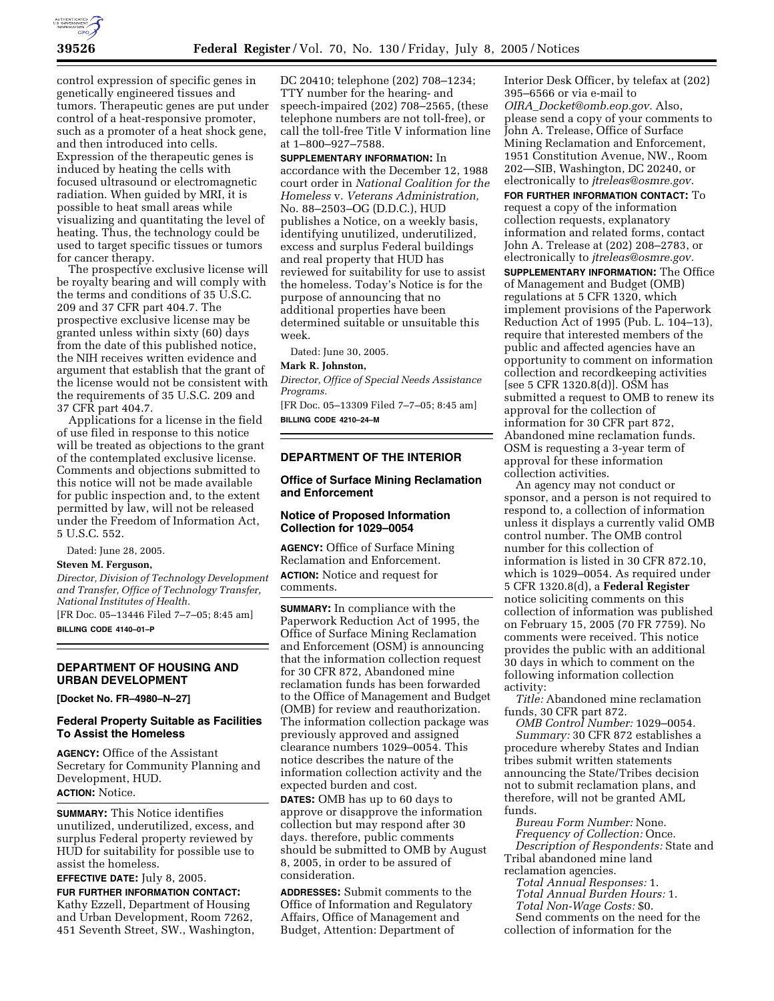

control expression of specific genes in genetically engineered tissues and tumors. Therapeutic genes are put under control of a heat-responsive promoter, such as a promoter of a heat shock gene, and then introduced into cells. Expression of the therapeutic genes is induced by heating the cells with focused ultrasound or electromagnetic radiation. When guided by MRI, it is possible to heat small areas while visualizing and quantitating the level of heating. Thus, the technology could be used to target specific tissues or tumors for cancer therapy.

The prospective exclusive license will be royalty bearing and will comply with the terms and conditions of 35 U.S.C. 209 and 37 CFR part 404.7. The prospective exclusive license may be granted unless within sixty (60) days from the date of this published notice, the NIH receives written evidence and argument that establish that the grant of the license would not be consistent with the requirements of 35 U.S.C. 209 and 37 CFR part 404.7.

Applications for a license in the field of use filed in response to this notice will be treated as objections to the grant of the contemplated exclusive license. Comments and objections submitted to this notice will not be made available for public inspection and, to the extent permitted by law, will not be released under the Freedom of Information Act, 5 U.S.C. 552.

Dated: June 28, 2005.

# **Steven M. Ferguson,**

*Director, Division of Technology Development and Transfer, Office of Technology Transfer, National Institutes of Health.*

[FR Doc. 05–13446 Filed 7–7–05; 8:45 am] **BILLING CODE 4140–01–P**

# **DEPARTMENT OF HOUSING AND URBAN DEVELOPMENT**

**[Docket No. FR–4980–N–27]** 

## **Federal Property Suitable as Facilities To Assist the Homeless**

**AGENCY:** Office of the Assistant Secretary for Community Planning and Development, HUD. **ACTION:** Notice.

**SUMMARY:** This Notice identifies unutilized, underutilized, excess, and surplus Federal property reviewed by HUD for suitability for possible use to assist the homeless.

**EFFECTIVE DATE:** July 8, 2005.

**FUR FURTHER INFORMATION CONTACT:** Kathy Ezzell, Department of Housing and Urban Development, Room 7262, 451 Seventh Street, SW., Washington,

DC 20410; telephone (202) 708–1234; TTY number for the hearing- and speech-impaired (202) 708–2565, (these telephone numbers are not toll-free), or call the toll-free Title V information line at 1–800–927–7588.

**SUPPLEMENTARY INFORMATION:** In accordance with the December 12, 1988 court order in *National Coalition for the Homeless* v. *Veterans Administration,* No. 88–2503–OG (D.D.C.), HUD publishes a Notice, on a weekly basis, identifying unutilized, underutilized, excess and surplus Federal buildings and real property that HUD has reviewed for suitability for use to assist the homeless. Today's Notice is for the purpose of announcing that no additional properties have been determined suitable or unsuitable this week.

Dated: June 30, 2005.

#### **Mark R. Johnston,**

*Director, Office of Special Needs Assistance Programs.*

[FR Doc. 05–13309 Filed 7–7–05; 8:45 am] **BILLING CODE 4210–24–M**

### **DEPARTMENT OF THE INTERIOR**

## **Office of Surface Mining Reclamation and Enforcement**

## **Notice of Proposed Information Collection for 1029–0054**

**AGENCY:** Office of Surface Mining Reclamation and Enforcement. **ACTION:** Notice and request for comments.

**SUMMARY:** In compliance with the Paperwork Reduction Act of 1995, the Office of Surface Mining Reclamation and Enforcement (OSM) is announcing that the information collection request for 30 CFR 872, Abandoned mine reclamation funds has been forwarded to the Office of Management and Budget (OMB) for review and reauthorization. The information collection package was previously approved and assigned clearance numbers 1029–0054. This notice describes the nature of the information collection activity and the expected burden and cost.

**DATES:** OMB has up to 60 days to approve or disapprove the information collection but may respond after 30 days. therefore, public comments should be submitted to OMB by August 8, 2005, in order to be assured of consideration.

**ADDRESSES:** Submit comments to the Office of Information and Regulatory Affairs, Office of Management and Budget, Attention: Department of

Interior Desk Officer, by telefax at (202) 395–6566 or via e-mail to *OIRA*\_*Docket@omb.eop.gov.* Also, please send a copy of your comments to John A. Trelease, Office of Surface Mining Reclamation and Enforcement, 1951 Constitution Avenue, NW., Room 202—SIB, Washington, DC 20240, or electronically to *jtreleas@osmre.gov.*

**FOR FURTHER INFORMATION CONTACT:** To request a copy of the information collection requests, explanatory information and related forms, contact John A. Trelease at (202) 208–2783, or electronically to *jtreleas@osmre.gov.* **SUPPLEMENTARY INFORMATION:** The Office of Management and Budget (OMB) regulations at 5 CFR 1320, which implement provisions of the Paperwork Reduction Act of 1995 (Pub. L. 104–13), require that interested members of the public and affected agencies have an opportunity to comment on information collection and recordkeeping activities [see 5 CFR 1320.8(d)]. OSM has submitted a request to OMB to renew its approval for the collection of information for 30 CFR part 872, Abandoned mine reclamation funds. OSM is requesting a 3-year term of approval for these information collection activities.

An agency may not conduct or sponsor, and a person is not required to respond to, a collection of information unless it displays a currently valid OMB control number. The OMB control number for this collection of information is listed in 30 CFR 872.10, which is 1029–0054. As required under 5 CFR 1320.8(d), a **Federal Register** notice soliciting comments on this collection of information was published on February 15, 2005 (70 FR 7759). No comments were received. This notice provides the public with an additional 30 days in which to comment on the following information collection activity:

*Title:* Abandoned mine reclamation funds, 30 CFR part 872.

*OMB Control Number:* 1029–0054. *Summary:* 30 CFR 872 establishes a procedure whereby States and Indian tribes submit written statements announcing the State/Tribes decision not to submit reclamation plans, and therefore, will not be granted AML funds.

*Bureau Form Number:* None. *Frequency of Collection:* Once. *Description of Respondents:* State and

Tribal abandoned mine land reclamation agencies.

*Total Annual Responses:* 1.

*Total Annual Burden Hours:* 1.

*Total Non-Wage Costs:* \$0.

Send comments on the need for the collection of information for the